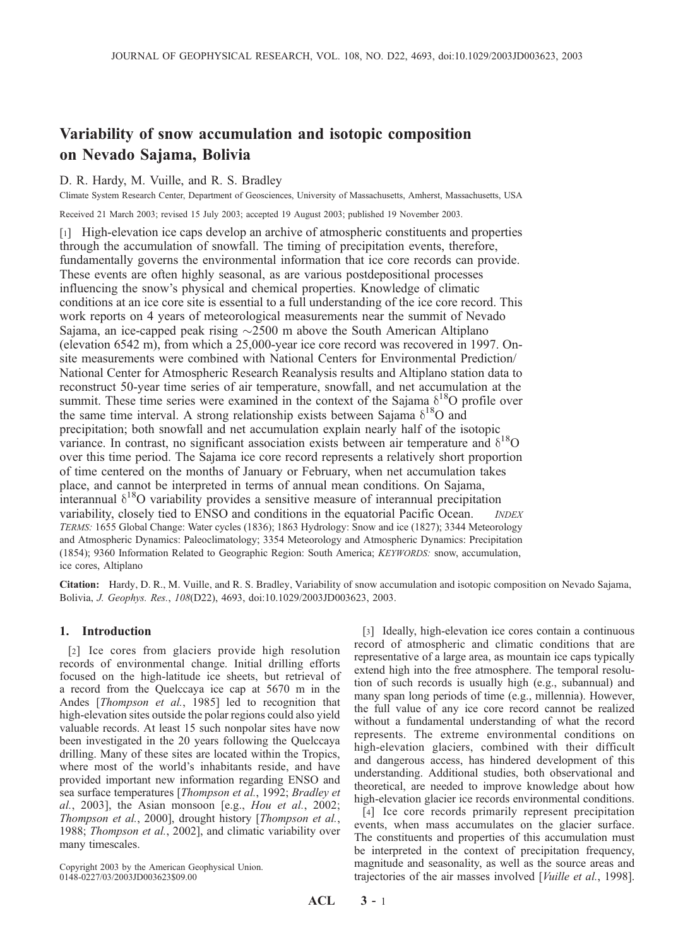# Variability of snow accumulation and isotopic composition on Nevado Sajama, Bolivia

## D. R. Hardy, M. Vuille, and R. S. Bradley

Climate System Research Center, Department of Geosciences, University of Massachusetts, Amherst, Massachusetts, USA

Received 21 March 2003; revised 15 July 2003; accepted 19 August 2003; published 19 November 2003.

[1] High-elevation ice caps develop an archive of atmospheric constituents and properties through the accumulation of snowfall. The timing of precipitation events, therefore, fundamentally governs the environmental information that ice core records can provide. These events are often highly seasonal, as are various postdepositional processes influencing the snow's physical and chemical properties. Knowledge of climatic conditions at an ice core site is essential to a full understanding of the ice core record. This work reports on 4 years of meteorological measurements near the summit of Nevado Sajama, an ice-capped peak rising  $\sim$ 2500 m above the South American Altiplano (elevation 6542 m), from which a 25,000-year ice core record was recovered in 1997. Onsite measurements were combined with National Centers for Environmental Prediction/ National Center for Atmospheric Research Reanalysis results and Altiplano station data to reconstruct 50-year time series of air temperature, snowfall, and net accumulation at the summit. These time series were examined in the context of the Sajama  $\delta^{18}O$  profile over the same time interval. A strong relationship exists between Sajama  $\delta^{18}O$  and precipitation; both snowfall and net accumulation explain nearly half of the isotopic variance. In contrast, no significant association exists between air temperature and  $\delta^{18}O$ over this time period. The Sajama ice core record represents a relatively short proportion of time centered on the months of January or February, when net accumulation takes place, and cannot be interpreted in terms of annual mean conditions. On Sajama, interannual  $\delta^{18}O$  variability provides a sensitive measure of interannual precipitation variability, closely tied to ENSO and conditions in the equatorial Pacific Ocean. *INDEX* TERMS: 1655 Global Change: Water cycles (1836); 1863 Hydrology: Snow and ice (1827); 3344 Meteorology and Atmospheric Dynamics: Paleoclimatology; 3354 Meteorology and Atmospheric Dynamics: Precipitation (1854); 9360 Information Related to Geographic Region: South America; KEYWORDS: snow, accumulation, ice cores, Altiplano

Citation: Hardy, D. R., M. Vuille, and R. S. Bradley, Variability of snow accumulation and isotopic composition on Nevado Sajama, Bolivia, J. Geophys. Res., 108(D22), 4693, doi:10.1029/2003JD003623, 2003.

## 1. Introduction

[2] Ice cores from glaciers provide high resolution records of environmental change. Initial drilling efforts focused on the high-latitude ice sheets, but retrieval of a record from the Quelccaya ice cap at 5670 m in the Andes [Thompson et al., 1985] led to recognition that high-elevation sites outside the polar regions could also yield valuable records. At least 15 such nonpolar sites have now been investigated in the 20 years following the Quelccaya drilling. Many of these sites are located within the Tropics, where most of the world's inhabitants reside, and have provided important new information regarding ENSO and sea surface temperatures [Thompson et al., 1992; Bradley et  $al., 2003],$  the Asian monsoon [e.g., Hou et al., 2002; Thompson et al., 2000], drought history [Thompson et al., 1988; Thompson et al., 2002], and climatic variability over many timescales.

Copyright 2003 by the American Geophysical Union. 0148-0227/03/2003JD003623\$09.00

[3] Ideally, high-elevation ice cores contain a continuous record of atmospheric and climatic conditions that are representative of a large area, as mountain ice caps typically extend high into the free atmosphere. The temporal resolution of such records is usually high (e.g., subannual) and many span long periods of time (e.g., millennia). However, the full value of any ice core record cannot be realized without a fundamental understanding of what the record represents. The extreme environmental conditions on high-elevation glaciers, combined with their difficult and dangerous access, has hindered development of this understanding. Additional studies, both observational and theoretical, are needed to improve knowledge about how high-elevation glacier ice records environmental conditions.

[4] Ice core records primarily represent precipitation events, when mass accumulates on the glacier surface. The constituents and properties of this accumulation must be interpreted in the context of precipitation frequency, magnitude and seasonality, as well as the source areas and trajectories of the air masses involved [Vuille et al., 1998].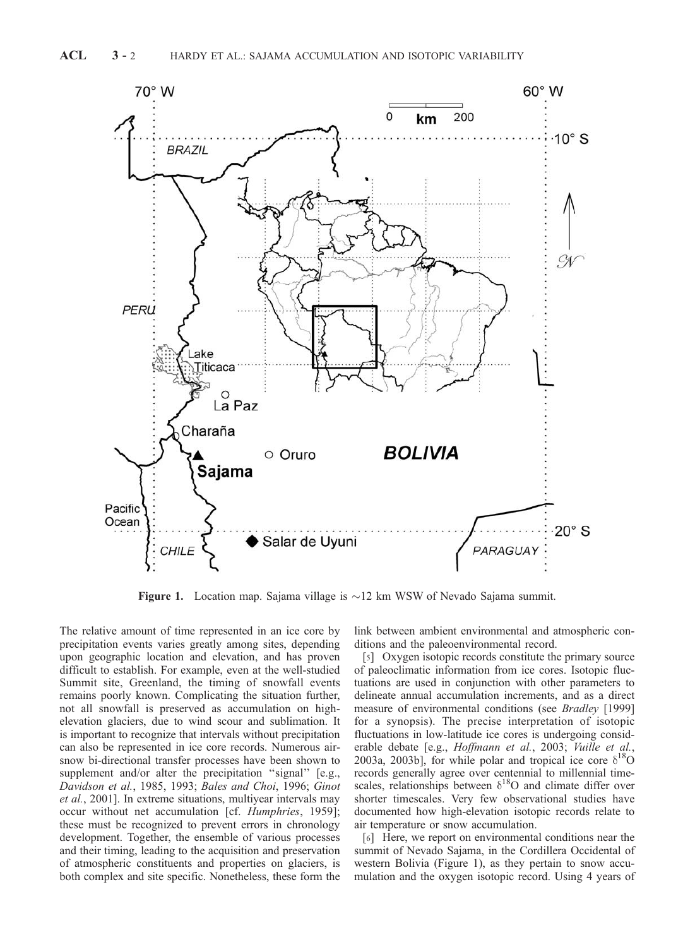

**Figure 1.** Location map. Sajama village is  $\sim$ 12 km WSW of Nevado Sajama summit.

The relative amount of time represented in an ice core by precipitation events varies greatly among sites, depending upon geographic location and elevation, and has proven difficult to establish. For example, even at the well-studied Summit site, Greenland, the timing of snowfall events remains poorly known. Complicating the situation further, not all snowfall is preserved as accumulation on highelevation glaciers, due to wind scour and sublimation. It is important to recognize that intervals without precipitation can also be represented in ice core records. Numerous airsnow bi-directional transfer processes have been shown to supplement and/or alter the precipitation "signal" [e.g., Davidson et al., 1985, 1993; Bales and Choi, 1996; Ginot et al., 2001]. In extreme situations, multiyear intervals may occur without net accumulation [cf. Humphries, 1959]; these must be recognized to prevent errors in chronology development. Together, the ensemble of various processes and their timing, leading to the acquisition and preservation of atmospheric constituents and properties on glaciers, is both complex and site specific. Nonetheless, these form the

link between ambient environmental and atmospheric conditions and the paleoenvironmental record.

[5] Oxygen isotopic records constitute the primary source of paleoclimatic information from ice cores. Isotopic fluctuations are used in conjunction with other parameters to delineate annual accumulation increments, and as a direct measure of environmental conditions (see Bradley [1999] for a synopsis). The precise interpretation of isotopic fluctuations in low-latitude ice cores is undergoing considerable debate [e.g., Hoffmann et al., 2003; Vuille et al., 2003a, 2003b], for while polar and tropical ice core  $\delta^{18}O$ records generally agree over centennial to millennial timescales, relationships between  $\delta^{18}$ O and climate differ over shorter timescales. Very few observational studies have documented how high-elevation isotopic records relate to air temperature or snow accumulation.

[6] Here, we report on environmental conditions near the summit of Nevado Sajama, in the Cordillera Occidental of western Bolivia (Figure 1), as they pertain to snow accumulation and the oxygen isotopic record. Using 4 years of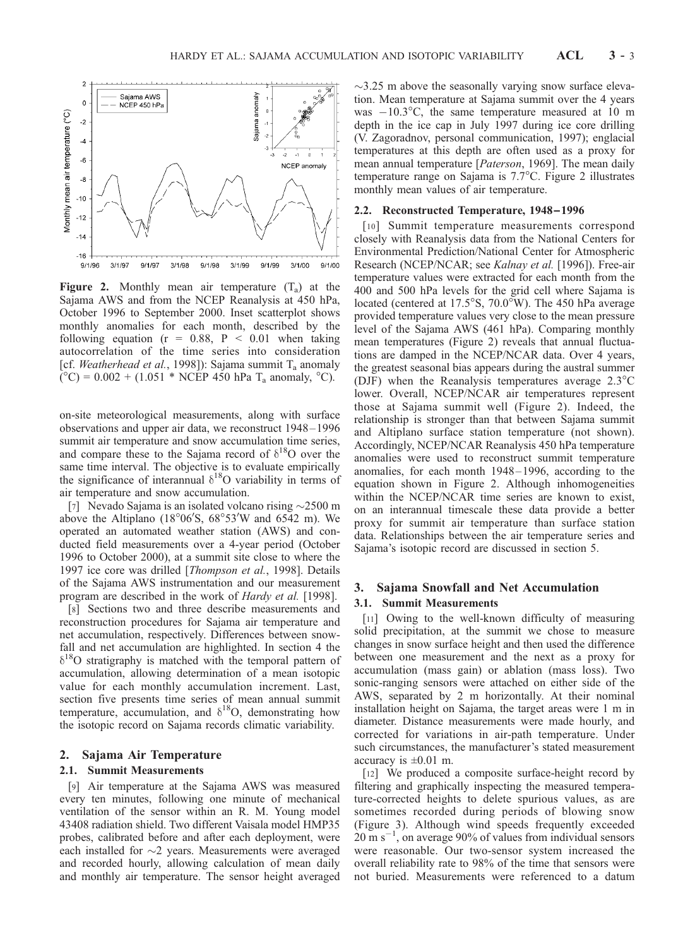

**Figure 2.** Monthly mean air temperature  $(T_a)$  at the Sajama AWS and from the NCEP Reanalysis at 450 hPa, October 1996 to September 2000. Inset scatterplot shows monthly anomalies for each month, described by the following equation ( $r = 0.88$ ,  $P < 0.01$  when taking autocorrelation of the time series into consideration [cf. Weatherhead et al., 1998]): Sajama summit  $T_a$  anomaly  $({}^{\circ}C) = 0.002 + (1.051 * NCEP 450 hPa T_a anomaly, {}^{\circ}C).$ 

on-site meteorological measurements, along with surface observations and upper air data, we reconstruct 1948 – 1996 summit air temperature and snow accumulation time series, and compare these to the Sajama record of  $\delta^{18}$ O over the same time interval. The objective is to evaluate empirically the significance of interannual  $\delta^{18}$ O variability in terms of air temperature and snow accumulation.

[7] Nevado Sajama is an isolated volcano rising  $\sim$ 2500 m above the Altiplano (18°06'S,  $68^{\circ}53'W$  and  $6542$  m). We operated an automated weather station (AWS) and conducted field measurements over a 4-year period (October 1996 to October 2000), at a summit site close to where the 1997 ice core was drilled [Thompson et al., 1998]. Details of the Sajama AWS instrumentation and our measurement program are described in the work of Hardy et al. [1998].

[8] Sections two and three describe measurements and reconstruction procedures for Sajama air temperature and net accumulation, respectively. Differences between snowfall and net accumulation are highlighted. In section 4 the  $\delta^{18}$ O stratigraphy is matched with the temporal pattern of accumulation, allowing determination of a mean isotopic value for each monthly accumulation increment. Last, section five presents time series of mean annual summit temperature, accumulation, and  $\delta^{18}O$ , demonstrating how the isotopic record on Sajama records climatic variability.

### 2. Sajama Air Temperature

## 2.1. Summit Measurements

[9] Air temperature at the Sajama AWS was measured every ten minutes, following one minute of mechanical ventilation of the sensor within an R. M. Young model 43408 radiation shield. Two different Vaisala model HMP35 probes, calibrated before and after each deployment, were each installed for  $\sim$ 2 years. Measurements were averaged and recorded hourly, allowing calculation of mean daily and monthly air temperature. The sensor height averaged  $\sim$ 3.25 m above the seasonally varying snow surface elevation. Mean temperature at Sajama summit over the 4 years was  $-10.3^{\circ}$ C, the same temperature measured at 10 m depth in the ice cap in July 1997 during ice core drilling (V. Zagoradnov, personal communication, 1997); englacial temperatures at this depth are often used as a proxy for mean annual temperature [*Paterson*, 1969]. The mean daily temperature range on Sajama is 7.7°C. Figure 2 illustrates monthly mean values of air temperature.

#### 2.2. Reconstructed Temperature, 1948 –1996

[10] Summit temperature measurements correspond closely with Reanalysis data from the National Centers for Environmental Prediction/National Center for Atmospheric Research (NCEP/NCAR; see Kalnay et al. [1996]). Free-air temperature values were extracted for each month from the 400 and 500 hPa levels for the grid cell where Sajama is located (centered at 17.5°S, 70.0°W). The 450 hPa average provided temperature values very close to the mean pressure level of the Sajama AWS (461 hPa). Comparing monthly mean temperatures (Figure 2) reveals that annual fluctuations are damped in the NCEP/NCAR data. Over 4 years, the greatest seasonal bias appears during the austral summer (DJF) when the Reanalysis temperatures average  $2.3^{\circ}$ C lower. Overall, NCEP/NCAR air temperatures represent those at Sajama summit well (Figure 2). Indeed, the relationship is stronger than that between Sajama summit and Altiplano surface station temperature (not shown). Accordingly, NCEP/NCAR Reanalysis 450 hPa temperature anomalies were used to reconstruct summit temperature anomalies, for each month 1948 – 1996, according to the equation shown in Figure 2. Although inhomogeneities within the NCEP/NCAR time series are known to exist, on an interannual timescale these data provide a better proxy for summit air temperature than surface station data. Relationships between the air temperature series and Sajama's isotopic record are discussed in section 5.

## 3. Sajama Snowfall and Net Accumulation

#### 3.1. Summit Measurements

[11] Owing to the well-known difficulty of measuring solid precipitation, at the summit we chose to measure changes in snow surface height and then used the difference between one measurement and the next as a proxy for accumulation (mass gain) or ablation (mass loss). Two sonic-ranging sensors were attached on either side of the AWS, separated by 2 m horizontally. At their nominal installation height on Sajama, the target areas were 1 m in diameter. Distance measurements were made hourly, and corrected for variations in air-path temperature. Under such circumstances, the manufacturer's stated measurement accuracy is  $\pm 0.01$  m.

[12] We produced a composite surface-height record by filtering and graphically inspecting the measured temperature-corrected heights to delete spurious values, as are sometimes recorded during periods of blowing snow (Figure 3). Although wind speeds frequently exceeded  $20 \text{ m s}^{-1}$ , on average 90% of values from individual sensors were reasonable. Our two-sensor system increased the overall reliability rate to 98% of the time that sensors were not buried. Measurements were referenced to a datum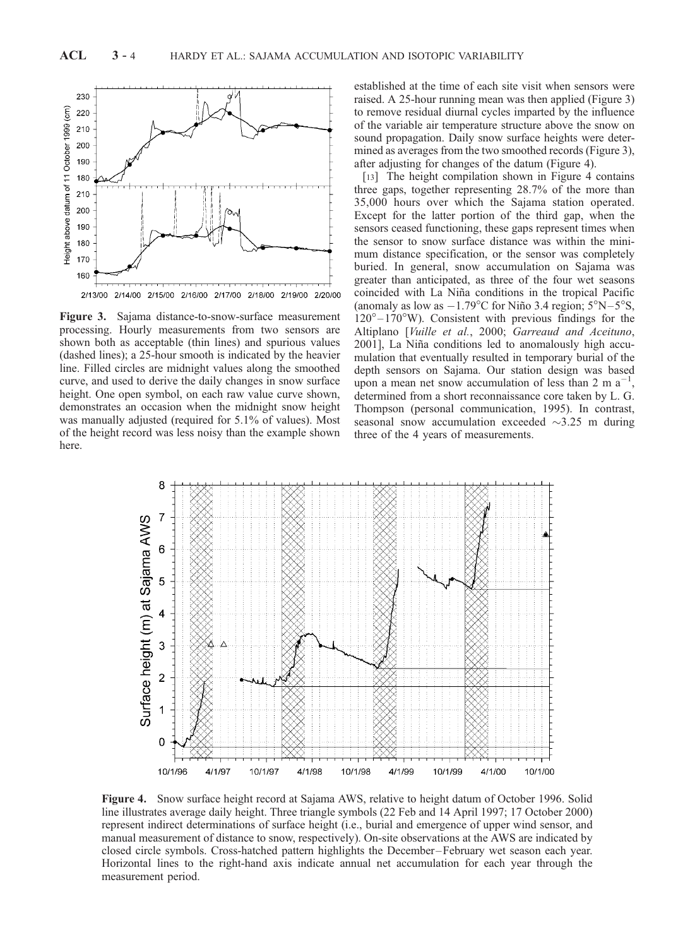

Figure 3. Sajama distance-to-snow-surface measurement processing. Hourly measurements from two sensors are shown both as acceptable (thin lines) and spurious values (dashed lines); a 25-hour smooth is indicated by the heavier line. Filled circles are midnight values along the smoothed curve, and used to derive the daily changes in snow surface height. One open symbol, on each raw value curve shown, demonstrates an occasion when the midnight snow height was manually adjusted (required for 5.1% of values). Most of the height record was less noisy than the example shown here.

established at the time of each site visit when sensors were raised. A 25-hour running mean was then applied (Figure 3) to remove residual diurnal cycles imparted by the influence of the variable air temperature structure above the snow on sound propagation. Daily snow surface heights were determined as averages from the two smoothed records (Figure 3), after adjusting for changes of the datum (Figure 4).

[13] The height compilation shown in Figure 4 contains three gaps, together representing 28.7% of the more than 35,000 hours over which the Sajama station operated. Except for the latter portion of the third gap, when the sensors ceased functioning, these gaps represent times when the sensor to snow surface distance was within the minimum distance specification, or the sensor was completely buried. In general, snow accumulation on Sajama was greater than anticipated, as three of the four wet seasons coincided with La Niña conditions in the tropical Pacific (anomaly as low as  $-1.79^{\circ}$ C for Niño 3.4 region;  $5^{\circ}$ N $-5^{\circ}$ S,  $120^{\circ} - 170^{\circ}$ W). Consistent with previous findings for the Altiplano [Vuille et al., 2000; Garreaud and Aceituno, 2001], La Niña conditions led to anomalously high accumulation that eventually resulted in temporary burial of the depth sensors on Sajama. Our station design was based upon a mean net snow accumulation of less than  $2 \text{ m a}^{-1}$ , determined from a short reconnaissance core taken by L. G. Thompson (personal communication, 1995). In contrast, seasonal snow accumulation exceeded  $\sim$ 3.25 m during three of the 4 years of measurements.



Figure 4. Snow surface height record at Sajama AWS, relative to height datum of October 1996. Solid line illustrates average daily height. Three triangle symbols (22 Feb and 14 April 1997; 17 October 2000) represent indirect determinations of surface height (i.e., burial and emergence of upper wind sensor, and manual measurement of distance to snow, respectively). On-site observations at the AWS are indicated by closed circle symbols. Cross-hatched pattern highlights the December –February wet season each year. Horizontal lines to the right-hand axis indicate annual net accumulation for each year through the measurement period.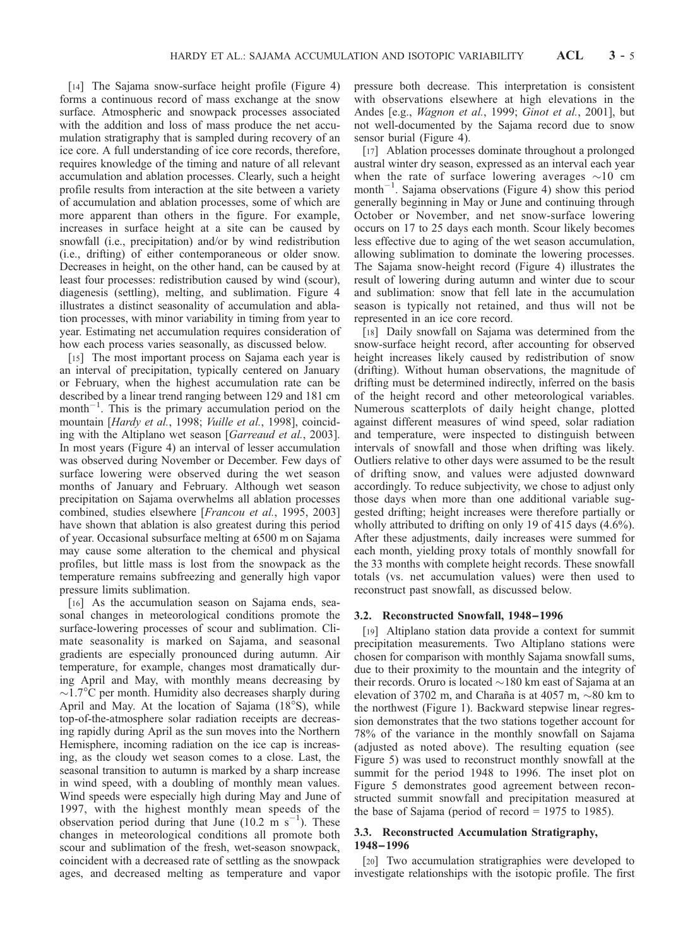[14] The Sajama snow-surface height profile (Figure 4) forms a continuous record of mass exchange at the snow surface. Atmospheric and snowpack processes associated with the addition and loss of mass produce the net accumulation stratigraphy that is sampled during recovery of an ice core. A full understanding of ice core records, therefore, requires knowledge of the timing and nature of all relevant accumulation and ablation processes. Clearly, such a height profile results from interaction at the site between a variety of accumulation and ablation processes, some of which are more apparent than others in the figure. For example, increases in surface height at a site can be caused by snowfall (i.e., precipitation) and/or by wind redistribution (i.e., drifting) of either contemporaneous or older snow. Decreases in height, on the other hand, can be caused by at least four processes: redistribution caused by wind (scour), diagenesis (settling), melting, and sublimation. Figure 4 illustrates a distinct seasonality of accumulation and ablation processes, with minor variability in timing from year to year. Estimating net accumulation requires consideration of how each process varies seasonally, as discussed below.

[15] The most important process on Sajama each year is an interval of precipitation, typically centered on January or February, when the highest accumulation rate can be described by a linear trend ranging between 129 and 181 cm month<sup> $-1$ </sup>. This is the primary accumulation period on the mountain [Hardy et al., 1998; Vuille et al., 1998], coinciding with the Altiplano wet season [Garreaud et al., 2003]. In most years (Figure 4) an interval of lesser accumulation was observed during November or December. Few days of surface lowering were observed during the wet season months of January and February. Although wet season precipitation on Sajama overwhelms all ablation processes combined, studies elsewhere [Francou et al., 1995, 2003] have shown that ablation is also greatest during this period of year. Occasional subsurface melting at 6500 m on Sajama may cause some alteration to the chemical and physical profiles, but little mass is lost from the snowpack as the temperature remains subfreezing and generally high vapor pressure limits sublimation.

[16] As the accumulation season on Sajama ends, seasonal changes in meteorological conditions promote the surface-lowering processes of scour and sublimation. Climate seasonality is marked on Sajama, and seasonal gradients are especially pronounced during autumn. Air temperature, for example, changes most dramatically during April and May, with monthly means decreasing by  $\sim$ 1.7 $\rm{°C}$  per month. Humidity also decreases sharply during April and May. At the location of Sajama (18°S), while top-of-the-atmosphere solar radiation receipts are decreasing rapidly during April as the sun moves into the Northern Hemisphere, incoming radiation on the ice cap is increasing, as the cloudy wet season comes to a close. Last, the seasonal transition to autumn is marked by a sharp increase in wind speed, with a doubling of monthly mean values. Wind speeds were especially high during May and June of 1997, with the highest monthly mean speeds of the observation period during that June  $(10.2 \text{ m s}^{-1})$ . These changes in meteorological conditions all promote both scour and sublimation of the fresh, wet-season snowpack, coincident with a decreased rate of settling as the snowpack ages, and decreased melting as temperature and vapor pressure both decrease. This interpretation is consistent with observations elsewhere at high elevations in the Andes [e.g., Wagnon et al., 1999; Ginot et al., 2001], but not well-documented by the Sajama record due to snow sensor burial (Figure 4).

[17] Ablation processes dominate throughout a prolonged austral winter dry season, expressed as an interval each year when the rate of surface lowering averages  $\sim 10$  cm month<sup>-1</sup>. Sajama observations (Figure 4) show this period generally beginning in May or June and continuing through October or November, and net snow-surface lowering occurs on 17 to 25 days each month. Scour likely becomes less effective due to aging of the wet season accumulation, allowing sublimation to dominate the lowering processes. The Sajama snow-height record (Figure 4) illustrates the result of lowering during autumn and winter due to scour and sublimation: snow that fell late in the accumulation season is typically not retained, and thus will not be represented in an ice core record.

[18] Daily snowfall on Sajama was determined from the snow-surface height record, after accounting for observed height increases likely caused by redistribution of snow (drifting). Without human observations, the magnitude of drifting must be determined indirectly, inferred on the basis of the height record and other meteorological variables. Numerous scatterplots of daily height change, plotted against different measures of wind speed, solar radiation and temperature, were inspected to distinguish between intervals of snowfall and those when drifting was likely. Outliers relative to other days were assumed to be the result of drifting snow, and values were adjusted downward accordingly. To reduce subjectivity, we chose to adjust only those days when more than one additional variable suggested drifting; height increases were therefore partially or wholly attributed to drifting on only 19 of 415 days (4.6%). After these adjustments, daily increases were summed for each month, yielding proxy totals of monthly snowfall for the 33 months with complete height records. These snowfall totals (vs. net accumulation values) were then used to reconstruct past snowfall, as discussed below.

#### 3.2. Reconstructed Snowfall, 1948 –1996

[19] Altiplano station data provide a context for summit precipitation measurements. Two Altiplano stations were chosen for comparison with monthly Sajama snowfall sums, due to their proximity to the mountain and the integrity of their records. Oruro is located  $\sim$ 180 km east of Sajama at an elevation of 3702 m, and Charaña is at 4057 m,  $\sim$ 80 km to the northwest (Figure 1). Backward stepwise linear regression demonstrates that the two stations together account for 78% of the variance in the monthly snowfall on Sajama (adjusted as noted above). The resulting equation (see Figure 5) was used to reconstruct monthly snowfall at the summit for the period 1948 to 1996. The inset plot on Figure 5 demonstrates good agreement between reconstructed summit snowfall and precipitation measured at the base of Sajama (period of record  $= 1975$  to 1985).

#### 3.3. Reconstructed Accumulation Stratigraphy, 1948–1996

[20] Two accumulation stratigraphies were developed to investigate relationships with the isotopic profile. The first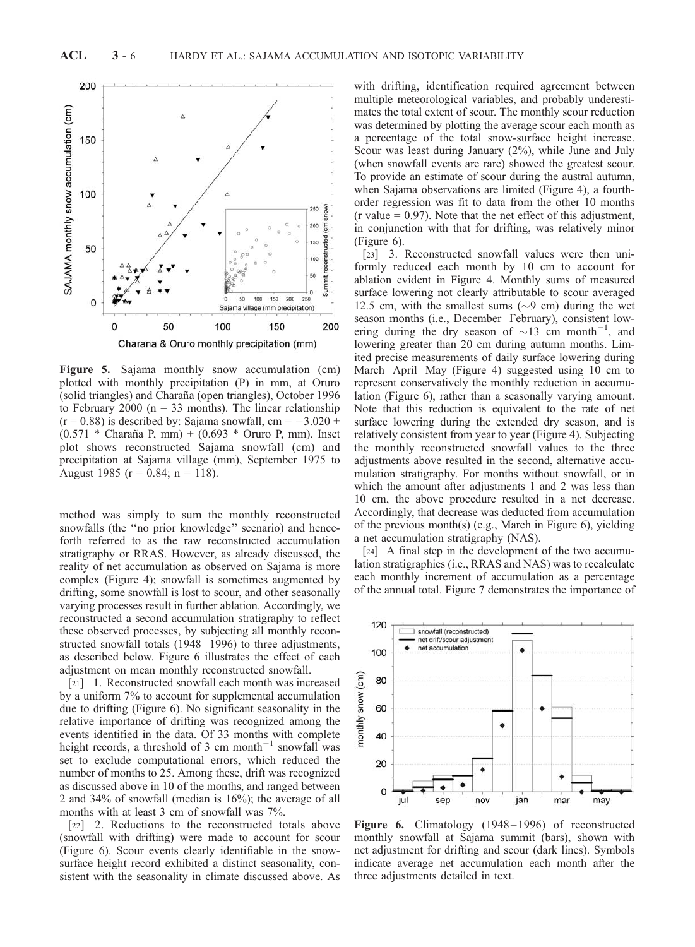

Figure 5. Sajama monthly snow accumulation (cm) plotted with monthly precipitation (P) in mm, at Oruro (solid triangles) and Charaña (open triangles), October 1996 to February 2000 ( $n = 33$  months). The linear relationship  $(r = 0.88)$  is described by: Sajama snowfall, cm =  $-3.020 +$  $(0.571 * Charaña P, mm) + (0.693 * Oruro P, mm)$ . Inset plot shows reconstructed Sajama snowfall (cm) and precipitation at Sajama village (mm), September 1975 to August 1985 ( $r = 0.84$ ;  $n = 118$ ).

method was simply to sum the monthly reconstructed snowfalls (the ''no prior knowledge'' scenario) and henceforth referred to as the raw reconstructed accumulation stratigraphy or RRAS. However, as already discussed, the reality of net accumulation as observed on Sajama is more complex (Figure 4); snowfall is sometimes augmented by drifting, some snowfall is lost to scour, and other seasonally varying processes result in further ablation. Accordingly, we reconstructed a second accumulation stratigraphy to reflect these observed processes, by subjecting all monthly reconstructed snowfall totals (1948-1996) to three adjustments, as described below. Figure 6 illustrates the effect of each adjustment on mean monthly reconstructed snowfall.

[21] 1. Reconstructed snowfall each month was increased by a uniform 7% to account for supplemental accumulation due to drifting (Figure 6). No significant seasonality in the relative importance of drifting was recognized among the events identified in the data. Of 33 months with complete height records, a threshold of 3 cm month<sup>-1</sup> snowfall was set to exclude computational errors, which reduced the number of months to 25. Among these, drift was recognized as discussed above in 10 of the months, and ranged between 2 and 34% of snowfall (median is 16%); the average of all months with at least 3 cm of snowfall was 7%.

[22] 2. Reductions to the reconstructed totals above (snowfall with drifting) were made to account for scour (Figure 6). Scour events clearly identifiable in the snowsurface height record exhibited a distinct seasonality, consistent with the seasonality in climate discussed above. As

with drifting, identification required agreement between multiple meteorological variables, and probably underestimates the total extent of scour. The monthly scour reduction was determined by plotting the average scour each month as a percentage of the total snow-surface height increase. Scour was least during January (2%), while June and July (when snowfall events are rare) showed the greatest scour. To provide an estimate of scour during the austral autumn, when Sajama observations are limited (Figure 4), a fourthorder regression was fit to data from the other 10 months  $(r$  value = 0.97). Note that the net effect of this adjustment, in conjunction with that for drifting, was relatively minor (Figure 6).

[23] 3. Reconstructed snowfall values were then uniformly reduced each month by 10 cm to account for ablation evident in Figure 4. Monthly sums of measured surface lowering not clearly attributable to scour averaged 12.5 cm, with the smallest sums ( $\sim$ 9 cm) during the wet season months (i.e., December –February), consistent lowering during the dry season of  $\sim$ 13 cm month<sup>-1</sup>, and lowering greater than 20 cm during autumn months. Limited precise measurements of daily surface lowering during March-April-May (Figure 4) suggested using 10 cm to represent conservatively the monthly reduction in accumulation (Figure 6), rather than a seasonally varying amount. Note that this reduction is equivalent to the rate of net surface lowering during the extended dry season, and is relatively consistent from year to year (Figure 4). Subjecting the monthly reconstructed snowfall values to the three adjustments above resulted in the second, alternative accumulation stratigraphy. For months without snowfall, or in which the amount after adjustments 1 and 2 was less than 10 cm, the above procedure resulted in a net decrease. Accordingly, that decrease was deducted from accumulation of the previous month(s) (e.g., March in Figure 6), yielding a net accumulation stratigraphy (NAS).

[24] A final step in the development of the two accumulation stratigraphies (i.e., RRAS and NAS) was to recalculate each monthly increment of accumulation as a percentage of the annual total. Figure 7 demonstrates the importance of



Figure 6. Climatology (1948–1996) of reconstructed monthly snowfall at Sajama summit (bars), shown with net adjustment for drifting and scour (dark lines). Symbols indicate average net accumulation each month after the three adjustments detailed in text.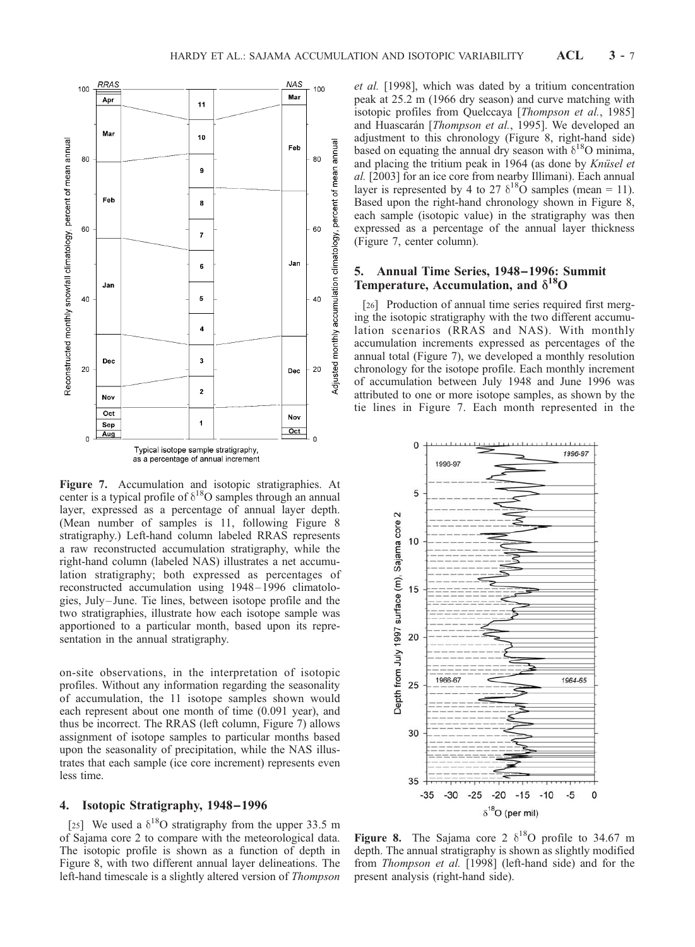

Figure 7. Accumulation and isotopic stratigraphies. At center is a typical profile of  $\delta^{18}O$  samples through an annual layer, expressed as a percentage of annual layer depth. (Mean number of samples is 11, following Figure 8 stratigraphy.) Left-hand column labeled RRAS represents a raw reconstructed accumulation stratigraphy, while the right-hand column (labeled NAS) illustrates a net accumulation stratigraphy; both expressed as percentages of reconstructed accumulation using 1948 – 1996 climatologies, July – June. Tie lines, between isotope profile and the two stratigraphies, illustrate how each isotope sample was apportioned to a particular month, based upon its representation in the annual stratigraphy.

on-site observations, in the interpretation of isotopic profiles. Without any information regarding the seasonality of accumulation, the 11 isotope samples shown would each represent about one month of time (0.091 year), and thus be incorrect. The RRAS (left column, Figure 7) allows assignment of isotope samples to particular months based upon the seasonality of precipitation, while the NAS illustrates that each sample (ice core increment) represents even less time.

## 4. Isotopic Stratigraphy, 1948–1996

[25] We used a  $\delta^{18}$ O stratigraphy from the upper 33.5 m of Sajama core 2 to compare with the meteorological data. The isotopic profile is shown as a function of depth in Figure 8, with two different annual layer delineations. The left-hand timescale is a slightly altered version of Thompson

et al. [1998], which was dated by a tritium concentration peak at 25.2 m (1966 dry season) and curve matching with isotopic profiles from Quelccaya [Thompson et al., 1985] and Huascarán [Thompson et al., 1995]. We developed an adjustment to this chronology (Figure 8, right-hand side) based on equating the annual dry season with  $\delta^{18}$ O minima, and placing the tritium peak in  $1964$  (as done by *Knüsel et* al. [2003] for an ice core from nearby Illimani). Each annual layer is represented by 4 to 27  $\delta^{18}$ O samples (mean = 11). Based upon the right-hand chronology shown in Figure 8, each sample (isotopic value) in the stratigraphy was then expressed as a percentage of the annual layer thickness (Figure 7, center column).

## 5. Annual Time Series, 1948–1996: Summit Temperature, Accumulation, and  $\delta^{18}O$

[26] Production of annual time series required first merging the isotopic stratigraphy with the two different accumulation scenarios (RRAS and NAS). With monthly accumulation increments expressed as percentages of the annual total (Figure 7), we developed a monthly resolution chronology for the isotope profile. Each monthly increment of accumulation between July 1948 and June 1996 was attributed to one or more isotope samples, as shown by the tie lines in Figure 7. Each month represented in the



Figure 8. The Sajama core 2  $\delta^{18}$ O profile to 34.67 m depth. The annual stratigraphy is shown as slightly modified from Thompson et al. [1998] (left-hand side) and for the present analysis (right-hand side).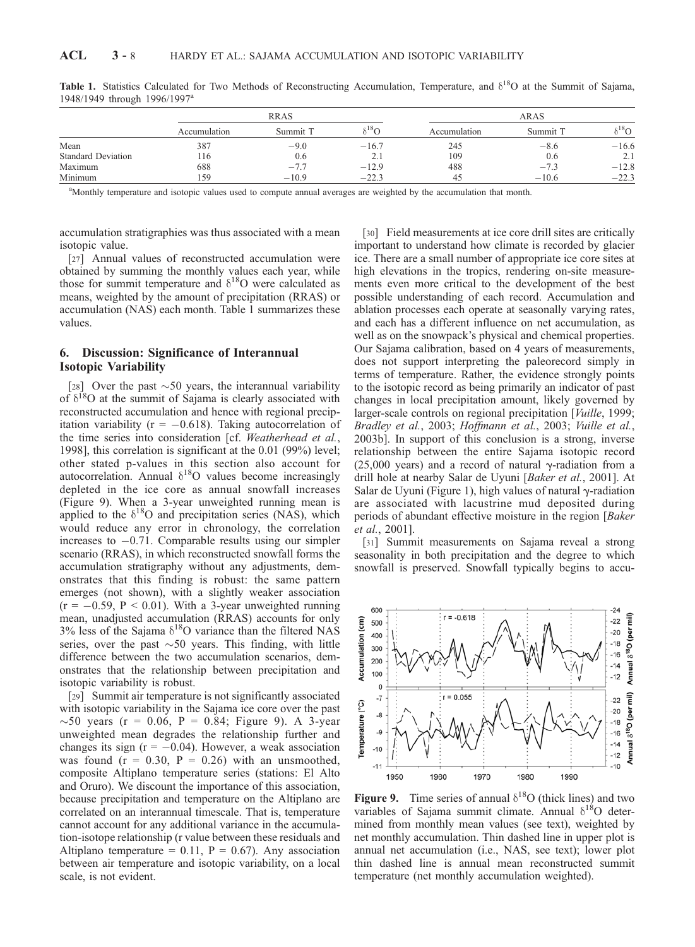|                           | <b>RRAS</b>  |                     |                              | ARAS         |          |           |
|---------------------------|--------------|---------------------|------------------------------|--------------|----------|-----------|
|                           | Accumulation | Summit <sup>"</sup> | $\cdot$ <sup>18</sup> $\cap$ | Accumulation | Summit T | $5^{18}O$ |
| Mean                      | 387          | $-9.0$              | $-16.7$                      | 245          | $-8.6$   | $-16.6$   |
| <b>Standard Deviation</b> | 116          | 0.6                 | 2.1                          | 109          | 0.6      | 2.1       |
| Maximum                   | 688          | $-1.1$              | $-12.9$                      | 488          | $-7.3$   | $-12.8$   |
| Minimum                   | 159          | $-10.9$             | $-22.3$                      | 45           | $-10.6$  | $-22.3$   |

Table 1. Statistics Calculated for Two Methods of Reconstructing Accumulation, Temperature, and  $\delta^{18}O$  at the Summit of Sajama, 1948/1949 through 1996/1997<sup>a</sup>

<sup>a</sup>Monthly temperature and isotopic values used to compute annual averages are weighted by the accumulation that month.

accumulation stratigraphies was thus associated with a mean isotopic value.

[27] Annual values of reconstructed accumulation were obtained by summing the monthly values each year, while those for summit temperature and  $\delta^{18}$ O were calculated as means, weighted by the amount of precipitation (RRAS) or accumulation (NAS) each month. Table 1 summarizes these values.

## 6. Discussion: Significance of Interannual Isotopic Variability

[28] Over the past  $\sim$  50 years, the interannual variability of  $\delta^{18}$ O at the summit of Sajama is clearly associated with reconstructed accumulation and hence with regional precipitation variability ( $r = -0.618$ ). Taking autocorrelation of the time series into consideration [cf. Weatherhead et al., 1998], this correlation is significant at the 0.01 (99%) level; other stated p-values in this section also account for autocorrelation. Annual  $\delta^{18}O$  values become increasingly depleted in the ice core as annual snowfall increases (Figure 9). When a 3-year unweighted running mean is applied to the  $\delta^{18}O$  and precipitation series (NAS), which would reduce any error in chronology, the correlation increases to  $-0.71$ . Comparable results using our simpler scenario (RRAS), in which reconstructed snowfall forms the accumulation stratigraphy without any adjustments, demonstrates that this finding is robust: the same pattern emerges (not shown), with a slightly weaker association  $(r = -0.59, P < 0.01)$ . With a 3-year unweighted running mean, unadjusted accumulation (RRAS) accounts for only 3% less of the Sajama  $\delta^{18}O$  variance than the filtered NAS series, over the past  $\sim$  50 years. This finding, with little difference between the two accumulation scenarios, demonstrates that the relationship between precipitation and isotopic variability is robust.

[29] Summit air temperature is not significantly associated with isotopic variability in the Sajama ice core over the past  $\sim$ 50 years (r = 0.06, P = 0.84; Figure 9). A 3-year unweighted mean degrades the relationship further and changes its sign ( $r = -0.04$ ). However, a weak association was found  $(r = 0.30, P = 0.26)$  with an unsmoothed, composite Altiplano temperature series (stations: El Alto and Oruro). We discount the importance of this association, because precipitation and temperature on the Altiplano are correlated on an interannual timescale. That is, temperature cannot account for any additional variance in the accumulation-isotope relationship (r value between these residuals and Altiplano temperature = 0.11,  $P = 0.67$ ). Any association between air temperature and isotopic variability, on a local scale, is not evident.

[30] Field measurements at ice core drill sites are critically important to understand how climate is recorded by glacier ice. There are a small number of appropriate ice core sites at high elevations in the tropics, rendering on-site measurements even more critical to the development of the best possible understanding of each record. Accumulation and ablation processes each operate at seasonally varying rates, and each has a different influence on net accumulation, as well as on the snowpack's physical and chemical properties. Our Sajama calibration, based on 4 years of measurements, does not support interpreting the paleorecord simply in terms of temperature. Rather, the evidence strongly points to the isotopic record as being primarily an indicator of past changes in local precipitation amount, likely governed by larger-scale controls on regional precipitation [Vuille, 1999; Bradley et al., 2003; Hoffmann et al., 2003; Vuille et al., 2003b]. In support of this conclusion is a strong, inverse relationship between the entire Sajama isotopic record (25,000 years) and a record of natural  $\gamma$ -radiation from a drill hole at nearby Salar de Uyuni [Baker et al., 2001]. At Salar de Uyuni (Figure 1), high values of natural  $\gamma$ -radiation are associated with lacustrine mud deposited during periods of abundant effective moisture in the region [Baker et al., 2001].

[31] Summit measurements on Sajama reveal a strong seasonality in both precipitation and the degree to which snowfall is preserved. Snowfall typically begins to accu-



Figure 9. Time series of annual  $\delta^{18}O$  (thick lines) and two variables of Sajama summit climate. Annual  $\delta^{18}O$  determined from monthly mean values (see text), weighted by net monthly accumulation. Thin dashed line in upper plot is annual net accumulation (i.e., NAS, see text); lower plot thin dashed line is annual mean reconstructed summit temperature (net monthly accumulation weighted).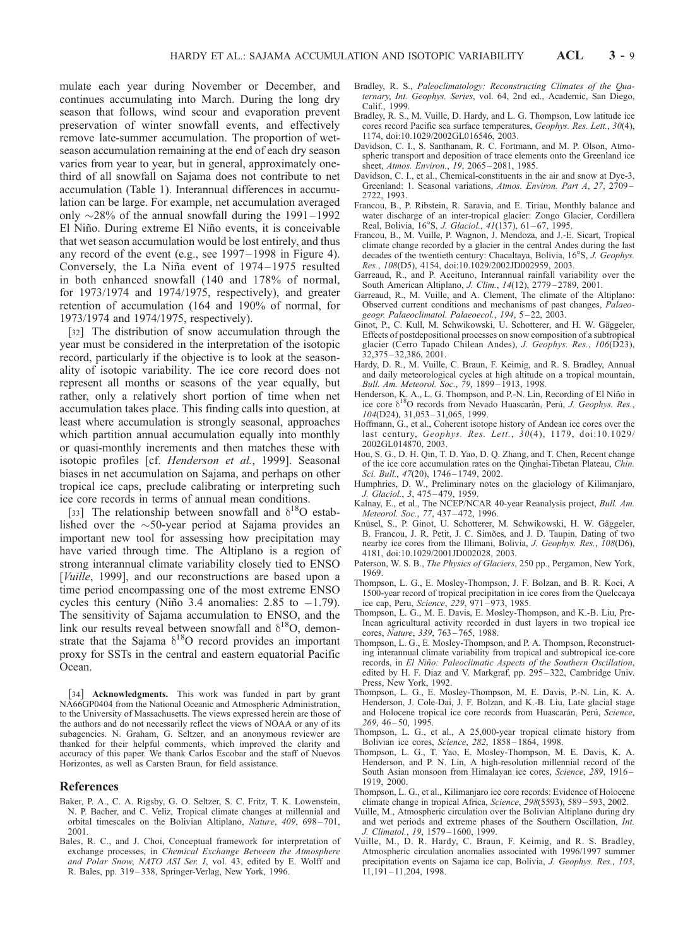mulate each year during November or December, and continues accumulating into March. During the long dry season that follows, wind scour and evaporation prevent preservation of winter snowfall events, and effectively remove late-summer accumulation. The proportion of wetseason accumulation remaining at the end of each dry season varies from year to year, but in general, approximately onethird of all snowfall on Sajama does not contribute to net accumulation (Table 1). Interannual differences in accumulation can be large. For example, net accumulation averaged only  $\sim$ 28% of the annual snowfall during the 1991–1992 El Niño. During extreme El Niño events, it is conceivable that wet season accumulation would be lost entirely, and thus any record of the event (e.g., see 1997– 1998 in Figure 4). Conversely, the La Niña event of 1974–1975 resulted in both enhanced snowfall (140 and 178% of normal, for 1973/1974 and 1974/1975, respectively), and greater retention of accumulation (164 and 190% of normal, for 1973/1974 and 1974/1975, respectively).

[32] The distribution of snow accumulation through the year must be considered in the interpretation of the isotopic record, particularly if the objective is to look at the seasonality of isotopic variability. The ice core record does not represent all months or seasons of the year equally, but rather, only a relatively short portion of time when net accumulation takes place. This finding calls into question, at least where accumulation is strongly seasonal, approaches which partition annual accumulation equally into monthly or quasi-monthly increments and then matches these with isotopic profiles [cf. Henderson et al., 1999]. Seasonal biases in net accumulation on Sajama, and perhaps on other tropical ice caps, preclude calibrating or interpreting such ice core records in terms of annual mean conditions.

[33] The relationship between snowfall and  $\delta^{18}O$  established over the  $\sim$ 50-year period at Sajama provides an important new tool for assessing how precipitation may have varied through time. The Altiplano is a region of strong interannual climate variability closely tied to ENSO [*Vuille*, 1999], and our reconstructions are based upon a time period encompassing one of the most extreme ENSO cycles this century (Niño 3.4 anomalies: 2.85 to  $-1.79$ ). The sensitivity of Sajama accumulation to ENSO, and the link our results reveal between snowfall and  $\delta^{18}O$ , demonstrate that the Sajama  $\delta^{18}O$  record provides an important proxy for SSTs in the central and eastern equatorial Pacific Ocean.

[34] Acknowledgments. This work was funded in part by grant NA66GP0404 from the National Oceanic and Atmospheric Administration, to the University of Massachusetts. The views expressed herein are those of the authors and do not necessarily reflect the views of NOAA or any of its subagencies. N. Graham, G. Seltzer, and an anonymous reviewer are thanked for their helpful comments, which improved the clarity and accuracy of this paper. We thank Carlos Escobar and the staff of Nuevos Horizontes, as well as Carsten Braun, for field assistance.

#### References

- Baker, P. A., C. A. Rigsby, G. O. Seltzer, S. C. Fritz, T. K. Lowenstein, N. P. Bacher, and C. Veliz, Tropical climate changes at millennial and orbital timescales on the Bolivian Altiplano, Nature, 409, 698-701, 2001.
- Bales, R. C., and J. Choi, Conceptual framework for interpretation of exchange processes, in Chemical Exchange Between the Atmosphere and Polar Snow, NATO ASI Ser. I, vol. 43, edited by E. Wolff and R. Bales, pp. 319 – 338, Springer-Verlag, New York, 1996.
- Bradley, R. S., Paleoclimatology: Reconstructing Climates of the Quaternary, Int. Geophys. Series, vol. 64, 2nd ed., Academic, San Diego, Calif., 1999.
- Bradley, R. S., M. Vuille, D. Hardy, and L. G. Thompson, Low latitude ice cores record Pacific sea surface temperatures, Geophys. Res. Lett., 30(4), 1174, doi:10.1029/2002GL016546, 2003.
- Davidson, C. I., S. Santhanam, R. C. Fortmann, and M. P. Olson, Atmospheric transport and deposition of trace elements onto the Greenland ice sheet, Atmos. Environ., 19, 2065 – 2081, 1985.
- Davidson, C. I., et al., Chemical-constituents in the air and snow at Dye-3, Greenland: 1. Seasonal variations, Atmos. Environ. Part A, 27, 2709 – 2722, 1993.
- Francou, B., P. Ribstein, R. Saravia, and E. Tiriau, Monthly balance and water discharge of an inter-tropical glacier: Zongo Glacier, Cordillera Real, Bolivia, 16°S, J. Glaciol., 41(137), 61-67, 1995.
- Francou, B., M. Vuille, P. Wagnon, J. Mendoza, and J.-E. Sicart, Tropical climate change recorded by a glacier in the central Andes during the last decades of the twentieth century: Chacaltaya, Bolivia, 16°S, J. Geophys. Res., 108(D5), 4154, doi:10.1029/2002JD002959, 2003.
- Garreaud, R., and P. Aceituno, Interannual rainfall variability over the South American Altiplano, *J. Clim.*, 14(12), 2779-2789, 2001.
- Garreaud, R., M. Vuille, and A. Clement, The climate of the Altiplano: Observed current conditions and mechanisms of past changes, Palaeogeogr. Palaeoclimatol. Palaeoecol., 194, 5 – 22, 2003.
- Ginot, P., C. Kull, M. Schwikowski, U. Schotterer, and H. W. Gäggeler, Effects of postdepositional processes on snow composition of a subtropical glacier (Cerro Tapado Chilean Andes), J. Geophys. Res., 106(D23), 32,375 – 32,386, 2001.
- Hardy, D. R., M. Vuille, C. Braun, F. Keimig, and R. S. Bradley, Annual and daily meteorological cycles at high altitude on a tropical mountain, Bull. Am. Meteorol. Soc., 79, 1899 – 1913, 1998.
- Henderson, K. A., L. G. Thompson, and P.-N. Lin, Recording of El Niño in ice core  $\delta^{18}O$  records from Nevado Huascarán, Perú, J. Geophys. Res., 104(D24), 31,053 – 31,065, 1999.
- Hoffmann, G., et al., Coherent isotope history of Andean ice cores over the last century, Geophys. Res. Lett., 30(4), 1179, doi:10.1029/ 2002GL014870, 2003.
- Hou, S. G., D. H. Qin, T. D. Yao, D. Q. Zhang, and T. Chen, Recent change of the ice core accumulation rates on the Qinghai-Tibetan Plateau, Chin. Sci. Bull., 47(20), 1746-1749, 2002.
- Humphries, D. W., Preliminary notes on the glaciology of Kilimanjaro, J. Glaciol., 3, 475 – 479, 1959.
- Kalnay, E., et al., The NCEP/NCAR 40-year Reanalysis project, Bull. Am. Meteorol. Soc., 77, 437 – 472, 1996.
- Knüsel, S., P. Ginot, U. Schotterer, M. Schwikowski, H. W. Gäggeler, B. Francou, J. R. Petit, J. C. Simões, and J. D. Taupin, Dating of two nearby ice cores from the Illimani, Bolivia, J. Geophys. Res., 108(D6), 4181, doi:10.1029/2001JD002028, 2003.
- Paterson, W. S. B., The Physics of Glaciers, 250 pp., Pergamon, New York, 1969.
- Thompson, L. G., E. Mosley-Thompson, J. F. Bolzan, and B. R. Koci, A 1500-year record of tropical precipitation in ice cores from the Quelccaya ice cap, Peru, Science, 229, 971 – 973, 1985.
- Thompson, L. G., M. E. Davis, E. Mosley-Thompson, and K.-B. Liu, Pre-Incan agricultural activity recorded in dust layers in two tropical ice cores, Nature, 339, 763-765, 1988.
- Thompson, L. G., E. Mosley-Thompson, and P. A. Thompson, Reconstructing interannual climate variability from tropical and subtropical ice-core records, in El Niño: Paleoclimatic Aspects of the Southern Oscillation, edited by H. F. Diaz and V. Markgraf, pp. 295 – 322, Cambridge Univ. Press, New York, 1992.
- Thompson, L. G., E. Mosley-Thompson, M. E. Davis, P.-N. Lin, K. A. Henderson, J. Cole-Dai, J. F. Bolzan, and K.-B. Liu, Late glacial stage and Holocene tropical ice core records from Huascarán, Perú, Science,  $269, 46 - 50, 1995.$
- Thompson, L. G., et al., A 25,000-year tropical climate history from Bolivian ice cores, Science, 282, 1858 – 1864, 1998.
- Thompson, L. G., T. Yao, E. Mosley-Thompson, M. E. Davis, K. A. Henderson, and P. N. Lin, A high-resolution millennial record of the South Asian monsoon from Himalayan ice cores, Science, 289, 1916-1919, 2000.
- Thompson, L. G., et al., Kilimanjaro ice core records: Evidence of Holocene climate change in tropical Africa, Science, 298(5593), 589 – 593, 2002.
- Vuille, M., Atmospheric circulation over the Bolivian Altiplano during dry and wet periods and extreme phases of the Southern Oscillation, Int. J. Climatol., 19, 1579 – 1600, 1999.
- Vuille, M., D. R. Hardy, C. Braun, F. Keimig, and R. S. Bradley, Atmospheric circulation anomalies associated with 1996/1997 summer precipitation events on Sajama ice cap, Bolivia, J. Geophys. Res., 103, 11,191 – 11,204, 1998.